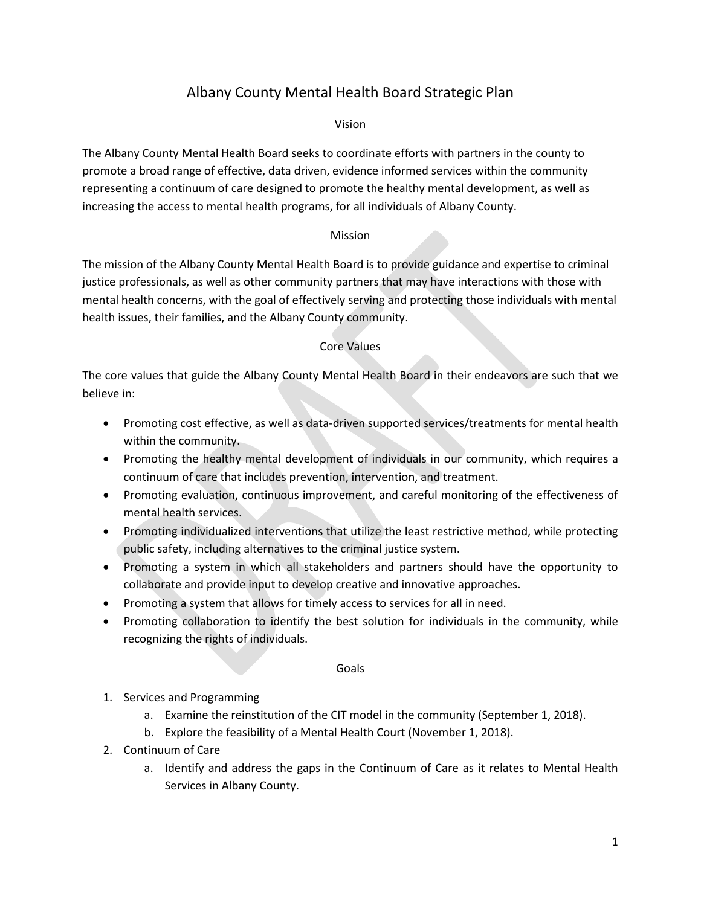# Albany County Mental Health Board Strategic Plan

#### Vision

The Albany County Mental Health Board seeks to coordinate efforts with partners in the county to promote a broad range of effective, data driven, evidence informed services within the community representing a continuum of care designed to promote the healthy mental development, as well as increasing the access to mental health programs, for all individuals of Albany County.

### Mission

The mission of the Albany County Mental Health Board is to provide guidance and expertise to criminal justice professionals, as well as other community partners that may have interactions with those with mental health concerns, with the goal of effectively serving and protecting those individuals with mental health issues, their families, and the Albany County community.

## Core Values

The core values that guide the Albany County Mental Health Board in their endeavors are such that we believe in:

- Promoting cost effective, as well as data-driven supported services/treatments for mental health within the community.
- Promoting the healthy mental development of individuals in our community, which requires a continuum of care that includes prevention, intervention, and treatment.
- Promoting evaluation, continuous improvement, and careful monitoring of the effectiveness of mental health services.
- Promoting individualized interventions that utilize the least restrictive method, while protecting public safety, including alternatives to the criminal justice system.
- Promoting a system in which all stakeholders and partners should have the opportunity to collaborate and provide input to develop creative and innovative approaches.
- Promoting a system that allows for timely access to services for all in need.
- Promoting collaboration to identify the best solution for individuals in the community, while recognizing the rights of individuals.

#### Goals

- 1. Services and Programming
	- a. Examine the reinstitution of the CIT model in the community (September 1, 2018).
	- b. Explore the feasibility of a Mental Health Court (November 1, 2018).
- 2. Continuum of Care
	- a. Identify and address the gaps in the Continuum of Care as it relates to Mental Health Services in Albany County.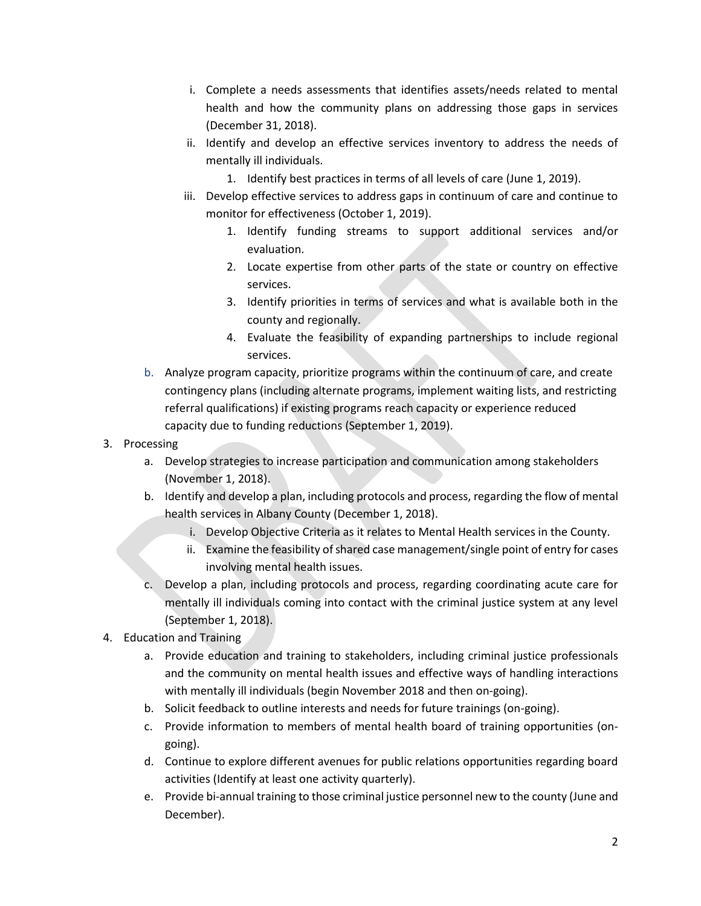- i. Complete a needs assessments that identifies assets/needs related to mental health and how the community plans on addressing those gaps in services (December 31, 2018).
- ii. Identify and develop an effective services inventory to address the needs of mentally ill individuals.
	- 1. Identify best practices in terms of all levels of care (June 1, 2019).
- iii. Develop effective services to address gaps in continuum of care and continue to monitor for effectiveness (October 1, 2019).
	- 1. Identify funding streams to support additional services and/or evaluation.
	- 2. Locate expertise from other parts of the state or country on effective services.
	- 3. Identify priorities in terms of services and what is available both in the county and regionally.
	- 4. Evaluate the feasibility of expanding partnerships to include regional services.
- b. Analyze program capacity, prioritize programs within the continuum of care, and create contingency plans (including alternate programs, implement waiting lists, and restricting referral qualifications) if existing programs reach capacity or experience reduced capacity due to funding reductions (September 1, 2019).

## 3. Processing

- a. Develop strategies to increase participation and communication among stakeholders (November 1, 2018).
- b. Identify and develop a plan, including protocols and process, regarding the flow of mental health services in Albany County (December 1, 2018).
	- i. Develop Objective Criteria as it relates to Mental Health services in the County.
	- ii. Examine the feasibility of shared case management/single point of entry for cases involving mental health issues.
- c. Develop a plan, including protocols and process, regarding coordinating acute care for mentally ill individuals coming into contact with the criminal justice system at any level (September 1, 2018).
- 4. Education and Training
	- a. Provide education and training to stakeholders, including criminal justice professionals and the community on mental health issues and effective ways of handling interactions with mentally ill individuals (begin November 2018 and then on-going).
	- b. Solicit feedback to outline interests and needs for future trainings (on-going).
	- c. Provide information to members of mental health board of training opportunities (ongoing).
	- d. Continue to explore different avenues for public relations opportunities regarding board activities (Identify at least one activity quarterly).
	- e. Provide bi-annual training to those criminal justice personnel new to the county (June and December).